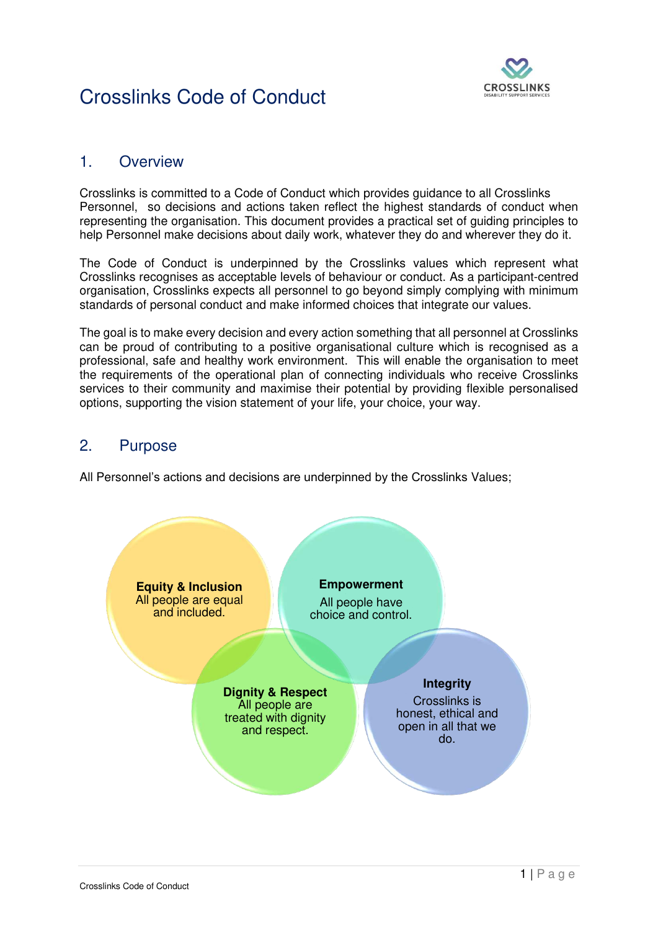

#### 1. Overview

Crosslinks is committed to a Code of Conduct which provides guidance to all Crosslinks Personnel, so decisions and actions taken reflect the highest standards of conduct when representing the organisation. This document provides a practical set of guiding principles to help Personnel make decisions about daily work, whatever they do and wherever they do it.

The Code of Conduct is underpinned by the Crosslinks values which represent what Crosslinks recognises as acceptable levels of behaviour or conduct. As a participant-centred organisation, Crosslinks expects all personnel to go beyond simply complying with minimum standards of personal conduct and make informed choices that integrate our values.

The goal is to make every decision and every action something that all personnel at Crosslinks can be proud of contributing to a positive organisational culture which is recognised as a professional, safe and healthy work environment. This will enable the organisation to meet the requirements of the operational plan of connecting individuals who receive Crosslinks services to their community and maximise their potential by providing flexible personalised options, supporting the vision statement of your life, your choice, your way.

#### 2. Purpose

All Personnel's actions and decisions are underpinned by the Crosslinks Values;

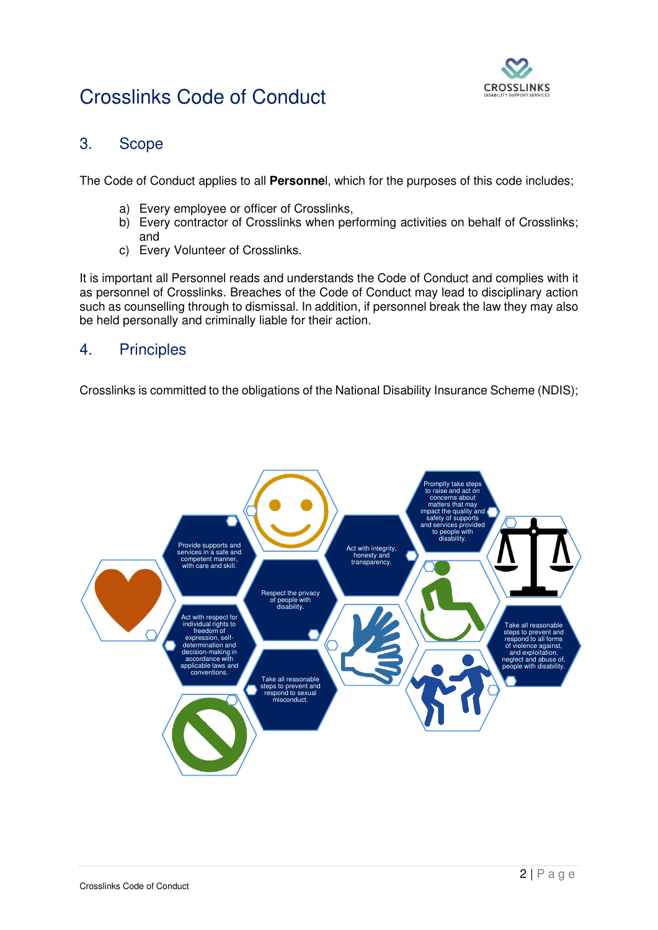

#### 3. Scope

The Code of Conduct applies to all **Personne**l, which for the purposes of this code includes;

- a) Every employee or officer of Crosslinks,
- b) Every contractor of Crosslinks when performing activities on behalf of Crosslinks; and
- c) Every Volunteer of Crosslinks.

It is important all Personnel reads and understands the Code of Conduct and complies with it as personnel of Crosslinks. Breaches of the Code of Conduct may lead to disciplinary action such as counselling through to dismissal. In addition, if personnel break the law they may also be held personally and criminally liable for their action.

#### 4. Principles

Crosslinks is committed to the obligations of the National Disability Insurance Scheme (NDIS);

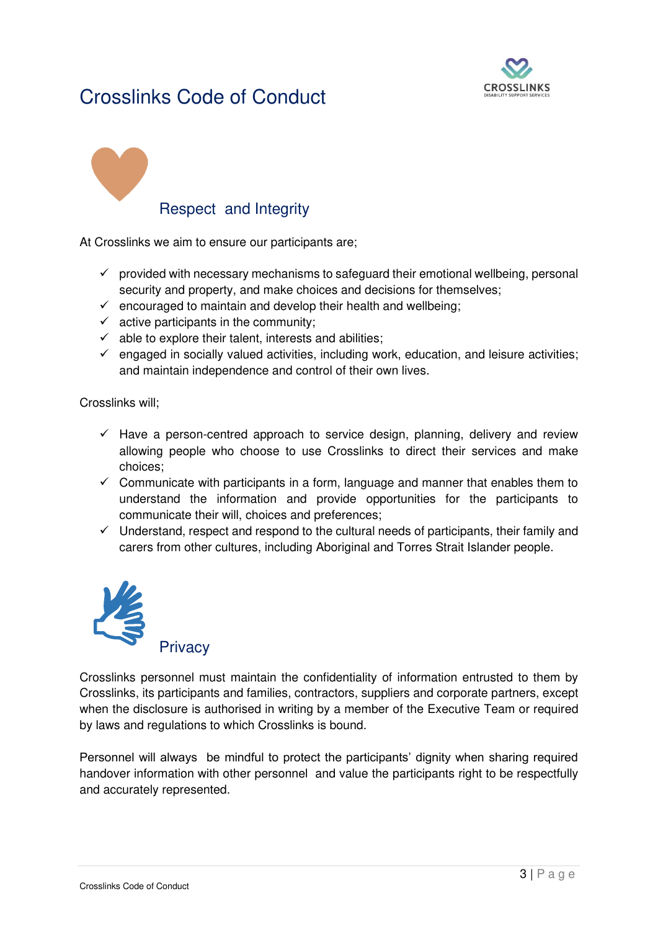

# Respect and Integrity

At Crosslinks we aim to ensure our participants are;

- $\checkmark$  provided with necessary mechanisms to safeguard their emotional wellbeing, personal security and property, and make choices and decisions for themselves;
- $\checkmark$  encouraged to maintain and develop their health and wellbeing;
- $\checkmark$  active participants in the community;
- $\checkmark$  able to explore their talent, interests and abilities;
- $\checkmark$  engaged in socially valued activities, including work, education, and leisure activities; and maintain independence and control of their own lives.

Crosslinks will;

- $\checkmark$  Have a person-centred approach to service design, planning, delivery and review allowing people who choose to use Crosslinks to direct their services and make choices;
- $\checkmark$  Communicate with participants in a form, language and manner that enables them to understand the information and provide opportunities for the participants to communicate their will, choices and preferences;
- $\checkmark$  Understand, respect and respond to the cultural needs of participants, their family and carers from other cultures, including Aboriginal and Torres Strait Islander people.



Crosslinks personnel must maintain the confidentiality of information entrusted to them by Crosslinks, its participants and families, contractors, suppliers and corporate partners, except when the disclosure is authorised in writing by a member of the Executive Team or required by laws and regulations to which Crosslinks is bound.

Personnel will always be mindful to protect the participants' dignity when sharing required handover information with other personnel and value the participants right to be respectfully and accurately represented.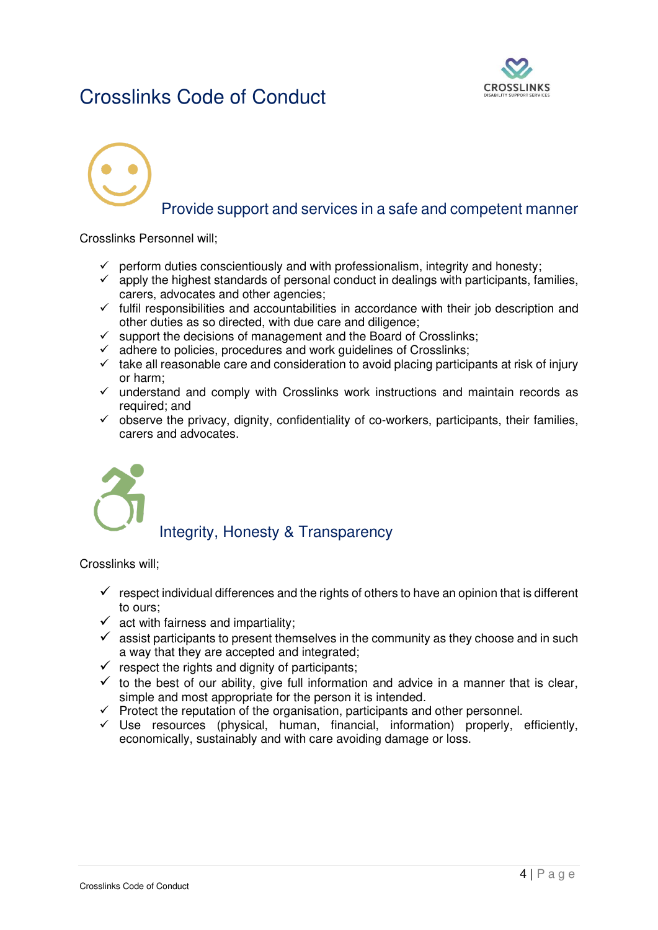

## Provide support and services in a safe and competent manner

Crosslinks Personnel will;

- $\checkmark$  perform duties conscientiously and with professionalism, integrity and honesty;
- $\checkmark$  apply the highest standards of personal conduct in dealings with participants, families, carers, advocates and other agencies;
- $\checkmark$  fulfil responsibilities and accountabilities in accordance with their job description and other duties as so directed, with due care and diligence;
- $\checkmark$  support the decisions of management and the Board of Crosslinks;
- $\checkmark$  adhere to policies, procedures and work guidelines of Crosslinks;
- $\checkmark$  take all reasonable care and consideration to avoid placing participants at risk of injury or harm;
- $\checkmark$  understand and comply with Crosslinks work instructions and maintain records as required; and
- $\checkmark$  observe the privacy, dignity, confidentiality of co-workers, participants, their families, carers and advocates.



## Integrity, Honesty & Transparency

Crosslinks will;

- $\checkmark$  respect individual differences and the rights of others to have an opinion that is different to ours;
- $\checkmark$  act with fairness and impartiality;
- $\checkmark$  assist participants to present themselves in the community as they choose and in such a way that they are accepted and integrated;
- $\checkmark$  respect the rights and dignity of participants;
- $\checkmark$  to the best of our ability, give full information and advice in a manner that is clear, simple and most appropriate for the person it is intended.
- $\checkmark$  Protect the reputation of the organisation, participants and other personnel.
- ✓ Use resources (physical, human, financial, information) properly, efficiently, economically, sustainably and with care avoiding damage or loss.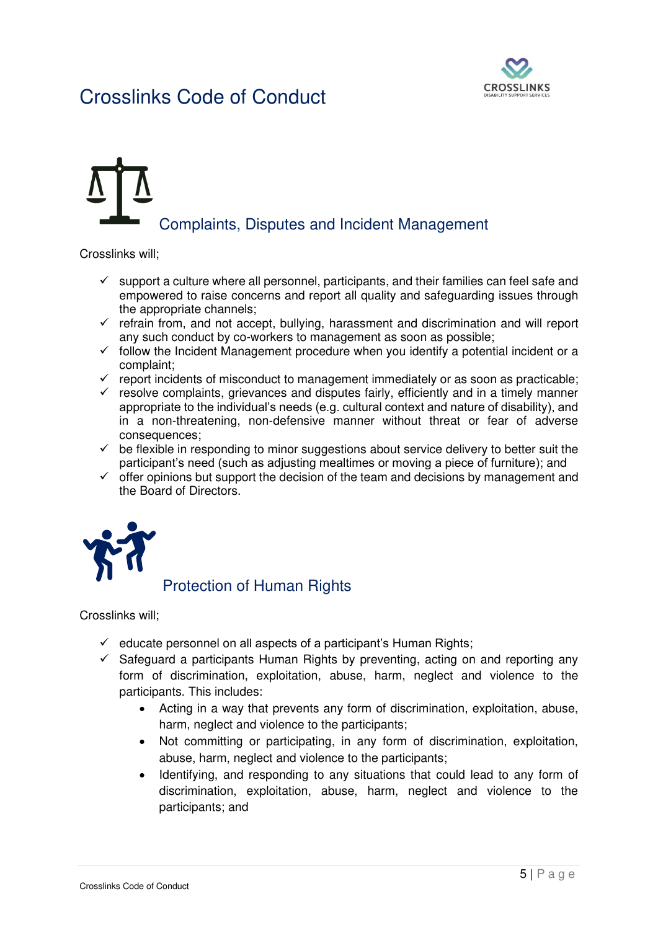

# Complaints, Disputes and Incident Management

Crosslinks will;

- $\checkmark$  support a culture where all personnel, participants, and their families can feel safe and empowered to raise concerns and report all quality and safeguarding issues through the appropriate channels;
- $\checkmark$  refrain from, and not accept, bullying, harassment and discrimination and will report any such conduct by co-workers to management as soon as possible;
- $\checkmark$  follow the Incident Management procedure when you identify a potential incident or a complaint;
- $\checkmark$  report incidents of misconduct to management immediately or as soon as practicable;
- $\checkmark$  resolve complaints, grievances and disputes fairly, efficiently and in a timely manner appropriate to the individual's needs (e.g. cultural context and nature of disability), and in a non-threatening, non-defensive manner without threat or fear of adverse consequences;
- $\checkmark$  be flexible in responding to minor suggestions about service delivery to better suit the participant's need (such as adjusting mealtimes or moving a piece of furniture); and
- $\checkmark$  offer opinions but support the decision of the team and decisions by management and the Board of Directors.



## Protection of Human Rights

Crosslinks will;

- $\checkmark$  educate personnel on all aspects of a participant's Human Rights;
- $\checkmark$  Safeguard a participants Human Rights by preventing, acting on and reporting any form of discrimination, exploitation, abuse, harm, neglect and violence to the participants. This includes:
	- Acting in a way that prevents any form of discrimination, exploitation, abuse, harm, neglect and violence to the participants;
	- Not committing or participating, in any form of discrimination, exploitation, abuse, harm, neglect and violence to the participants;
	- Identifying, and responding to any situations that could lead to any form of discrimination, exploitation, abuse, harm, neglect and violence to the participants; and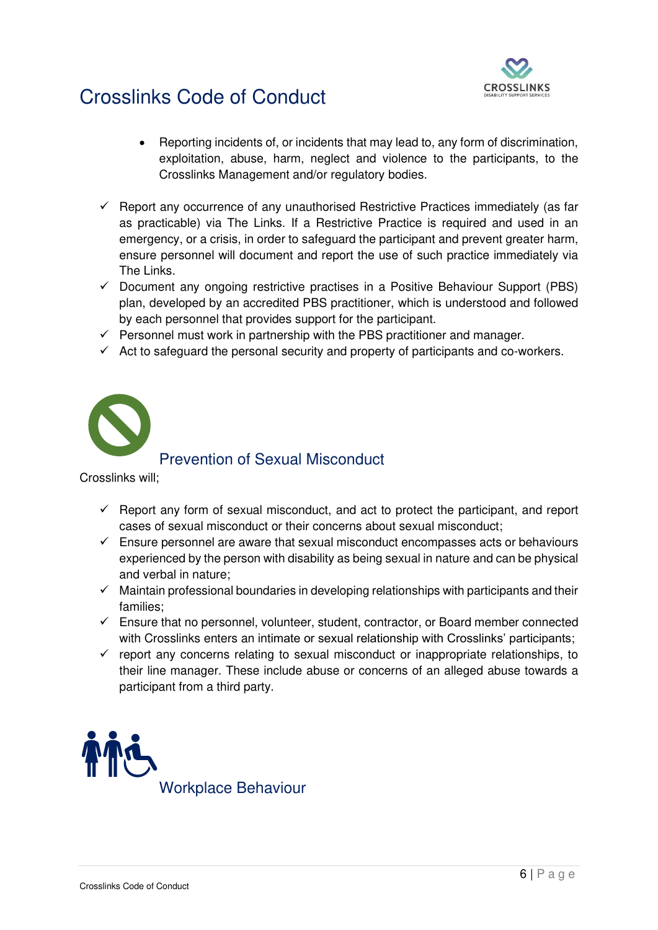

- Reporting incidents of, or incidents that may lead to, any form of discrimination, exploitation, abuse, harm, neglect and violence to the participants, to the Crosslinks Management and/or regulatory bodies.
- $\checkmark$  Report any occurrence of any unauthorised Restrictive Practices immediately (as far as practicable) via The Links. If a Restrictive Practice is required and used in an emergency, or a crisis, in order to safeguard the participant and prevent greater harm, ensure personnel will document and report the use of such practice immediately via The Links.
- $\checkmark$  Document any ongoing restrictive practises in a Positive Behaviour Support (PBS) plan, developed by an accredited PBS practitioner, which is understood and followed by each personnel that provides support for the participant.
- $\checkmark$  Personnel must work in partnership with the PBS practitioner and manager.
- $\checkmark$  Act to safeguard the personal security and property of participants and co-workers.



#### Prevention of Sexual Misconduct

Crosslinks will;

- $\checkmark$  Report any form of sexual misconduct, and act to protect the participant, and report cases of sexual misconduct or their concerns about sexual misconduct;
- $\checkmark$  Ensure personnel are aware that sexual misconduct encompasses acts or behaviours experienced by the person with disability as being sexual in nature and can be physical and verbal in nature;
- $\checkmark$  Maintain professional boundaries in developing relationships with participants and their families;
- $\checkmark$  Ensure that no personnel, volunteer, student, contractor, or Board member connected with Crosslinks enters an intimate or sexual relationship with Crosslinks' participants;
- $\checkmark$  report any concerns relating to sexual misconduct or inappropriate relationships, to their line manager. These include abuse or concerns of an alleged abuse towards a participant from a third party.

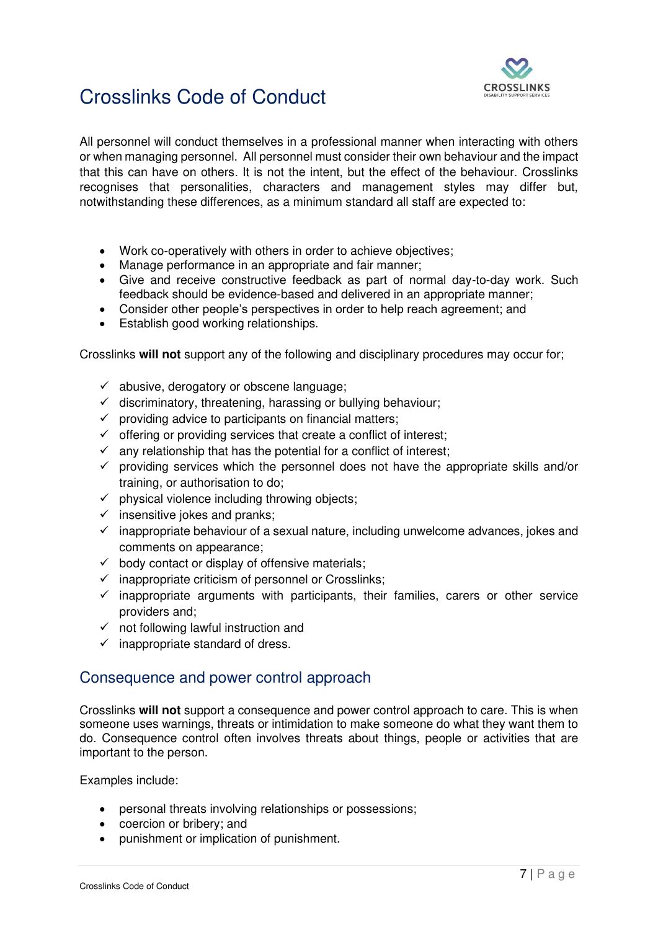

All personnel will conduct themselves in a professional manner when interacting with others or when managing personnel. All personnel must consider their own behaviour and the impact that this can have on others. It is not the intent, but the effect of the behaviour. Crosslinks recognises that personalities, characters and management styles may differ but, notwithstanding these differences, as a minimum standard all staff are expected to:

- Work co-operatively with others in order to achieve objectives;
- Manage performance in an appropriate and fair manner;
- Give and receive constructive feedback as part of normal day-to-day work. Such feedback should be evidence-based and delivered in an appropriate manner;
- Consider other people's perspectives in order to help reach agreement; and
- Establish good working relationships.

Crosslinks **will not** support any of the following and disciplinary procedures may occur for;

- $\checkmark$  abusive, derogatory or obscene language;
- $\checkmark$  discriminatory, threatening, harassing or bullying behaviour;
- $\checkmark$  providing advice to participants on financial matters;
- $\checkmark$  offering or providing services that create a conflict of interest;
- $\checkmark$  any relationship that has the potential for a conflict of interest;
- $\checkmark$  providing services which the personnel does not have the appropriate skills and/or training, or authorisation to do;
- $\checkmark$  physical violence including throwing objects;
- $\checkmark$  insensitive jokes and pranks;
- $\checkmark$  inappropriate behaviour of a sexual nature, including unwelcome advances, jokes and comments on appearance;
- $\checkmark$  body contact or display of offensive materials;
- $\checkmark$  inappropriate criticism of personnel or Crosslinks;
- $\checkmark$  inappropriate arguments with participants, their families, carers or other service providers and;
- $\checkmark$  not following lawful instruction and
- $\checkmark$  inappropriate standard of dress.

#### Consequence and power control approach

Crosslinks **will not** support a consequence and power control approach to care. This is when someone uses warnings, threats or intimidation to make someone do what they want them to do. Consequence control often involves threats about things, people or activities that are important to the person.

Examples include:

- personal threats involving relationships or possessions;
- coercion or bribery; and
- punishment or implication of punishment.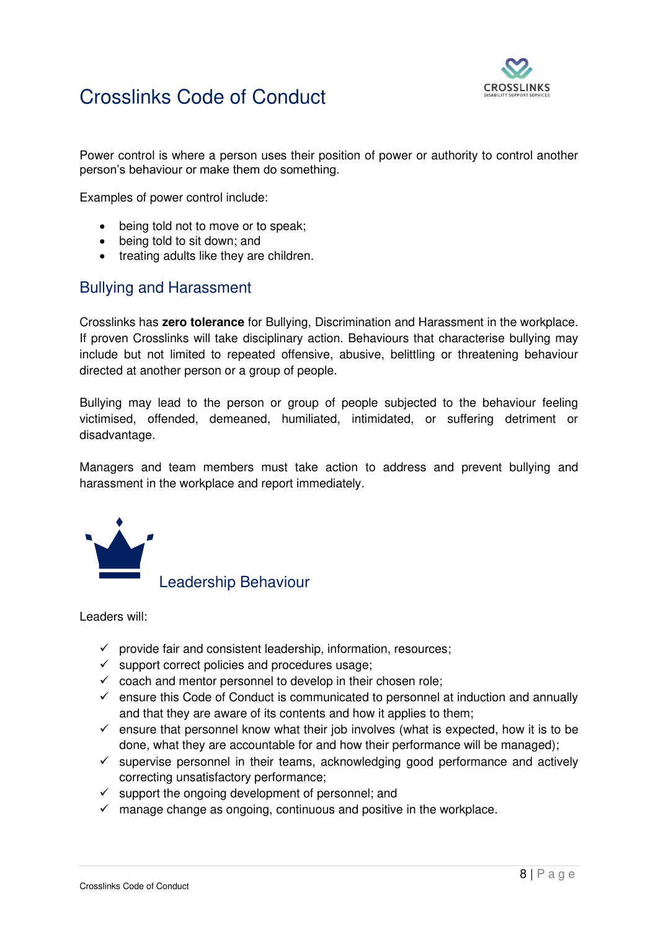

Power control is where a person uses their position of power or authority to control another person's behaviour or make them do something.

Examples of power control include:

- being told not to move or to speak;
- being told to sit down; and
- treating adults like they are children.

#### Bullying and Harassment

Crosslinks has **zero tolerance** for Bullying, Discrimination and Harassment in the workplace. If proven Crosslinks will take disciplinary action. Behaviours that characterise bullying may include but not limited to repeated offensive, abusive, belittling or threatening behaviour directed at another person or a group of people.

Bullying may lead to the person or group of people subjected to the behaviour feeling victimised, offended, demeaned, humiliated, intimidated, or suffering detriment or disadvantage.

Managers and team members must take action to address and prevent bullying and harassment in the workplace and report immediately.



Leadership Behaviour

Leaders will:

- $\checkmark$  provide fair and consistent leadership, information, resources;
- $\checkmark$  support correct policies and procedures usage;
- $\checkmark$  coach and mentor personnel to develop in their chosen role;
- $\checkmark$  ensure this Code of Conduct is communicated to personnel at induction and annually and that they are aware of its contents and how it applies to them;
- $\checkmark$  ensure that personnel know what their job involves (what is expected, how it is to be done, what they are accountable for and how their performance will be managed);
- $\checkmark$  supervise personnel in their teams, acknowledging good performance and actively correcting unsatisfactory performance;
- $\checkmark$  support the ongoing development of personnel; and
- $\checkmark$  manage change as ongoing, continuous and positive in the workplace.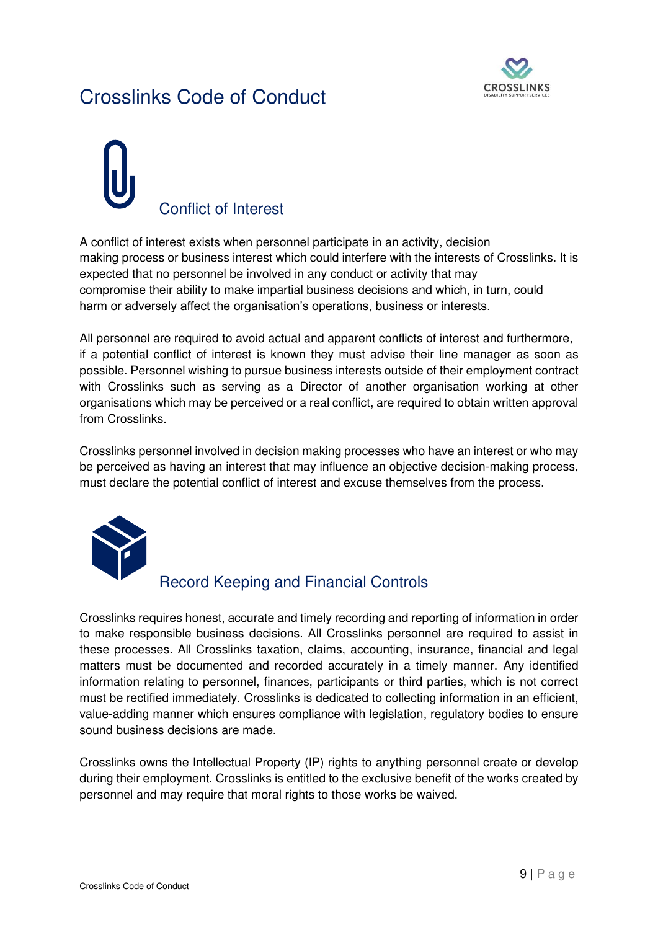

# Conflict of Interest

A conflict of interest exists when personnel participate in an activity, decision making process or business interest which could interfere with the interests of Crosslinks. It is expected that no personnel be involved in any conduct or activity that may compromise their ability to make impartial business decisions and which, in turn, could harm or adversely affect the organisation's operations, business or interests.

All personnel are required to avoid actual and apparent conflicts of interest and furthermore, if a potential conflict of interest is known they must advise their line manager as soon as possible. Personnel wishing to pursue business interests outside of their employment contract with Crosslinks such as serving as a Director of another organisation working at other organisations which may be perceived or a real conflict, are required to obtain written approval from Crosslinks.

Crosslinks personnel involved in decision making processes who have an interest or who may be perceived as having an interest that may influence an objective decision-making process, must declare the potential conflict of interest and excuse themselves from the process.



## Record Keeping and Financial Controls

Crosslinks requires honest, accurate and timely recording and reporting of information in order to make responsible business decisions. All Crosslinks personnel are required to assist in these processes. All Crosslinks taxation, claims, accounting, insurance, financial and legal matters must be documented and recorded accurately in a timely manner. Any identified information relating to personnel, finances, participants or third parties, which is not correct must be rectified immediately. Crosslinks is dedicated to collecting information in an efficient, value-adding manner which ensures compliance with legislation, regulatory bodies to ensure sound business decisions are made.

Crosslinks owns the Intellectual Property (IP) rights to anything personnel create or develop during their employment. Crosslinks is entitled to the exclusive benefit of the works created by personnel and may require that moral rights to those works be waived.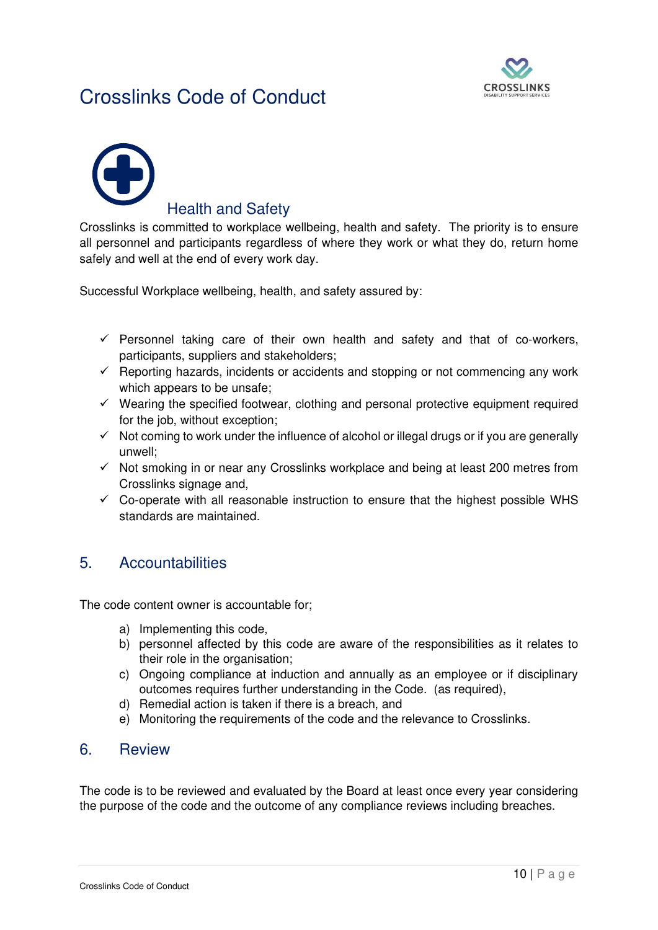



#### **Health and Safetv**

Crosslinks is committed to workplace wellbeing, health and safety. The priority is to ensure all personnel and participants regardless of where they work or what they do, return home safely and well at the end of every work day.

Successful Workplace wellbeing, health, and safety assured by:

- $\checkmark$  Personnel taking care of their own health and safety and that of co-workers, participants, suppliers and stakeholders;
- $\checkmark$  Reporting hazards, incidents or accidents and stopping or not commencing any work which appears to be unsafe;
- $\checkmark$  Wearing the specified footwear, clothing and personal protective equipment required for the job, without exception;
- $\checkmark$  Not coming to work under the influence of alcohol or illegal drugs or if you are generally unwell;
- $\checkmark$  Not smoking in or near any Crosslinks workplace and being at least 200 metres from Crosslinks signage and,
- $\checkmark$  Co-operate with all reasonable instruction to ensure that the highest possible WHS standards are maintained.

#### 5. Accountabilities

The code content owner is accountable for;

- a) Implementing this code,
- b) personnel affected by this code are aware of the responsibilities as it relates to their role in the organisation;
- c) Ongoing compliance at induction and annually as an employee or if disciplinary outcomes requires further understanding in the Code. (as required),
- d) Remedial action is taken if there is a breach, and
- e) Monitoring the requirements of the code and the relevance to Crosslinks.

#### 6. Review

The code is to be reviewed and evaluated by the Board at least once every year considering the purpose of the code and the outcome of any compliance reviews including breaches.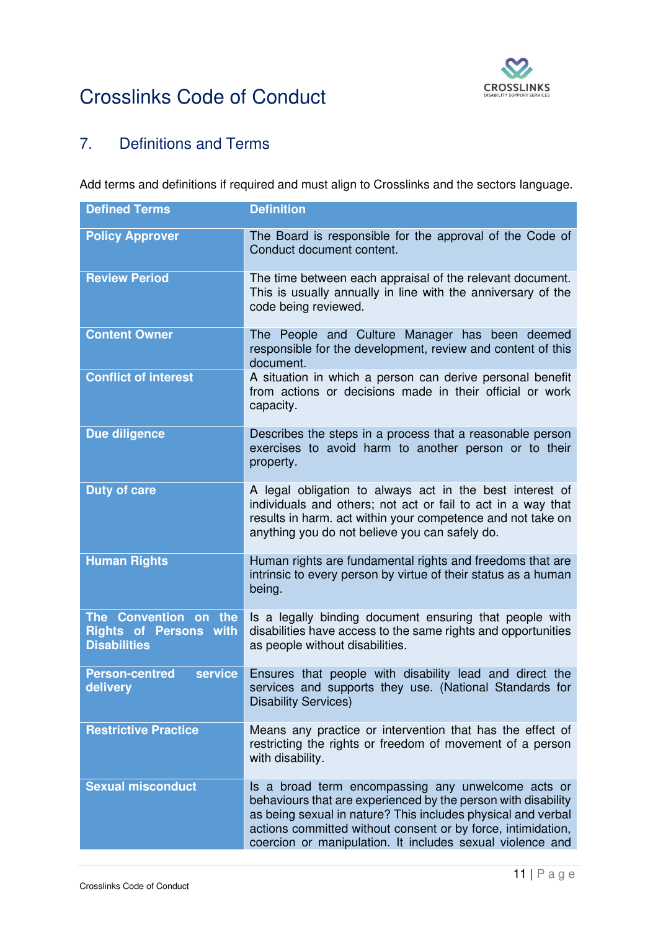

## 7. Definitions and Terms

Add terms and definitions if required and must align to Crosslinks and the sectors language.

| <b>Defined Terms</b>                                                          | <b>Definition</b>                                                                                                                                                                                                                                                                                                |  |  |
|-------------------------------------------------------------------------------|------------------------------------------------------------------------------------------------------------------------------------------------------------------------------------------------------------------------------------------------------------------------------------------------------------------|--|--|
| <b>Policy Approver</b>                                                        | The Board is responsible for the approval of the Code of<br>Conduct document content.                                                                                                                                                                                                                            |  |  |
| <b>Review Period</b>                                                          | The time between each appraisal of the relevant document.<br>This is usually annually in line with the anniversary of the<br>code being reviewed.                                                                                                                                                                |  |  |
| <b>Content Owner</b>                                                          | The People and Culture Manager has been deemed<br>responsible for the development, review and content of this<br>document.                                                                                                                                                                                       |  |  |
| <b>Conflict of interest</b>                                                   | A situation in which a person can derive personal benefit<br>from actions or decisions made in their official or work<br>capacity.                                                                                                                                                                               |  |  |
| Due diligence                                                                 | Describes the steps in a process that a reasonable person<br>exercises to avoid harm to another person or to their<br>property.                                                                                                                                                                                  |  |  |
| <b>Duty of care</b>                                                           | A legal obligation to always act in the best interest of<br>individuals and others; not act or fail to act in a way that<br>results in harm. act within your competence and not take on<br>anything you do not believe you can safely do.                                                                        |  |  |
| <b>Human Rights</b>                                                           | Human rights are fundamental rights and freedoms that are<br>intrinsic to every person by virtue of their status as a human<br>being.                                                                                                                                                                            |  |  |
| The Convention on the<br><b>Rights of Persons with</b><br><b>Disabilities</b> | Is a legally binding document ensuring that people with<br>disabilities have access to the same rights and opportunities<br>as people without disabilities.                                                                                                                                                      |  |  |
| <b>Person-centred</b><br><b>service</b><br>delivery                           | Ensures that people with disability lead and direct the<br>services and supports they use. (National Standards for<br><b>Disability Services)</b>                                                                                                                                                                |  |  |
| <b>Restrictive Practice</b>                                                   | Means any practice or intervention that has the effect of<br>restricting the rights or freedom of movement of a person<br>with disability.                                                                                                                                                                       |  |  |
| <b>Sexual misconduct</b>                                                      | Is a broad term encompassing any unwelcome acts or<br>behaviours that are experienced by the person with disability<br>as being sexual in nature? This includes physical and verbal<br>actions committed without consent or by force, intimidation,<br>coercion or manipulation. It includes sexual violence and |  |  |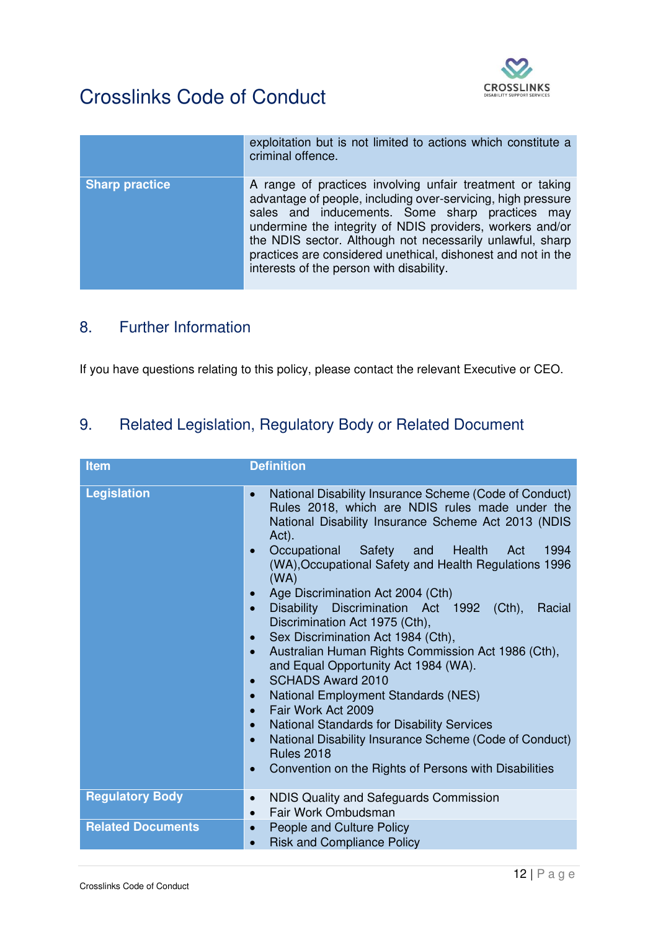

|                       | exploitation but is not limited to actions which constitute a<br>criminal offence.                                                                                                                                                                                                                                                                                                                                 |
|-----------------------|--------------------------------------------------------------------------------------------------------------------------------------------------------------------------------------------------------------------------------------------------------------------------------------------------------------------------------------------------------------------------------------------------------------------|
| <b>Sharp practice</b> | A range of practices involving unfair treatment or taking<br>advantage of people, including over-servicing, high pressure<br>sales and inducements. Some sharp practices may<br>undermine the integrity of NDIS providers, workers and/or<br>the NDIS sector. Although not necessarily unlawful, sharp<br>practices are considered unethical, dishonest and not in the<br>interests of the person with disability. |

#### 8. Further Information

If you have questions relating to this policy, please contact the relevant Executive or CEO.

# 9. Related Legislation, Regulatory Body or Related Document

| <b>Item</b>              | <b>Definition</b>                                                                                                                                                                                                                                                                                                                                                                                                                                                                                                                                                                                                                                                                                                                                                                                                                                                                                                                                                                                                            |
|--------------------------|------------------------------------------------------------------------------------------------------------------------------------------------------------------------------------------------------------------------------------------------------------------------------------------------------------------------------------------------------------------------------------------------------------------------------------------------------------------------------------------------------------------------------------------------------------------------------------------------------------------------------------------------------------------------------------------------------------------------------------------------------------------------------------------------------------------------------------------------------------------------------------------------------------------------------------------------------------------------------------------------------------------------------|
| <b>Legislation</b>       | National Disability Insurance Scheme (Code of Conduct)<br>$\bullet$<br>Rules 2018, which are NDIS rules made under the<br>National Disability Insurance Scheme Act 2013 (NDIS<br>Act).<br>Occupational Safety<br>and<br>Health<br>1994<br>Act<br>$\bullet$<br>(WA), Occupational Safety and Health Regulations 1996<br>(WA)<br>Age Discrimination Act 2004 (Cth)<br>$\bullet$<br>Disability Discrimination Act 1992 (Cth),<br>Racial<br>$\bullet$<br>Discrimination Act 1975 (Cth),<br>Sex Discrimination Act 1984 (Cth),<br>$\bullet$<br>Australian Human Rights Commission Act 1986 (Cth),<br>$\bullet$<br>and Equal Opportunity Act 1984 (WA).<br><b>SCHADS Award 2010</b><br>$\bullet$<br><b>National Employment Standards (NES)</b><br>$\bullet$<br>Fair Work Act 2009<br>$\bullet$<br><b>National Standards for Disability Services</b><br>$\bullet$<br>National Disability Insurance Scheme (Code of Conduct)<br>$\bullet$<br><b>Rules 2018</b><br>Convention on the Rights of Persons with Disabilities<br>$\bullet$ |
| <b>Regulatory Body</b>   | NDIS Quality and Safeguards Commission<br>$\bullet$<br>Fair Work Ombudsman<br>$\bullet$                                                                                                                                                                                                                                                                                                                                                                                                                                                                                                                                                                                                                                                                                                                                                                                                                                                                                                                                      |
| <b>Related Documents</b> | People and Culture Policy<br>$\bullet$<br><b>Risk and Compliance Policy</b><br>$\bullet$                                                                                                                                                                                                                                                                                                                                                                                                                                                                                                                                                                                                                                                                                                                                                                                                                                                                                                                                     |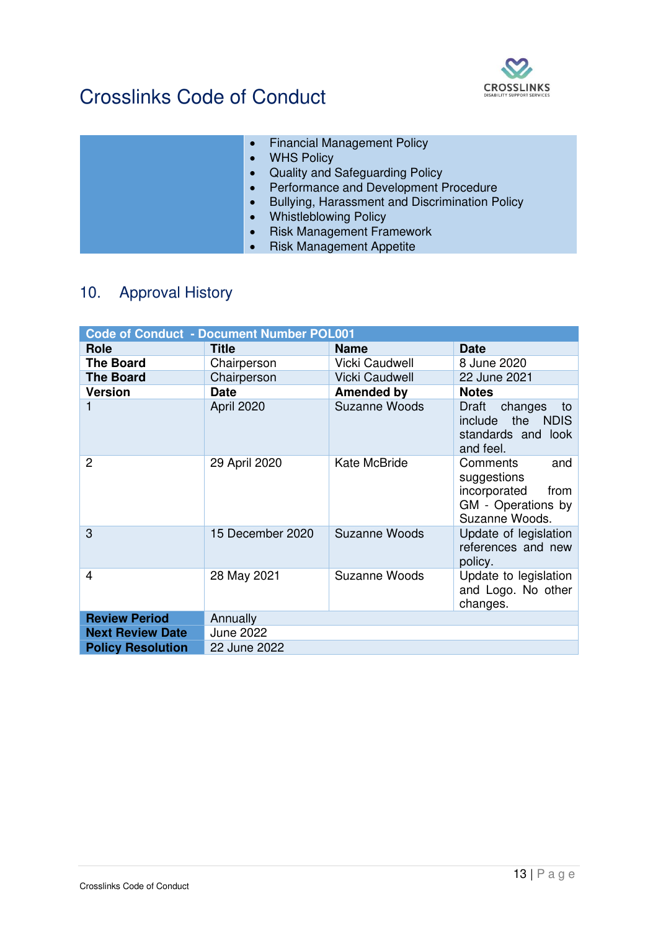

| <b>Financial Management Policy</b><br>$\bullet$             |
|-------------------------------------------------------------|
| <b>WHS Policy</b><br>$\bullet$                              |
| Quality and Safeguarding Policy<br>$\bullet$                |
| Performance and Development Procedure<br>$\bullet$          |
| Bullying, Harassment and Discrimination Policy<br>$\bullet$ |
| <b>Whistleblowing Policy</b><br>$\bullet$                   |
| <b>Risk Management Framework</b><br>$\bullet$               |
| <b>Risk Management Appetite</b>                             |

# 10. Approval History

| <b>Code of Conduct - Document Number POL001</b> |                  |                       |                                                                                                |  |  |  |
|-------------------------------------------------|------------------|-----------------------|------------------------------------------------------------------------------------------------|--|--|--|
| Role                                            | <b>Title</b>     | <b>Name</b>           | <b>Date</b>                                                                                    |  |  |  |
| <b>The Board</b>                                | Chairperson      | <b>Vicki Caudwell</b> | 8 June 2020                                                                                    |  |  |  |
| <b>The Board</b>                                | Chairperson      | <b>Vicki Caudwell</b> | 22 June 2021                                                                                   |  |  |  |
| <b>Version</b>                                  | <b>Date</b>      | <b>Amended by</b>     | <b>Notes</b>                                                                                   |  |  |  |
|                                                 | April 2020       | <b>Suzanne Woods</b>  | Draft<br>changes<br>to<br>include the<br><b>NDIS</b><br>standards and look<br>and feel.        |  |  |  |
| $\overline{2}$                                  | 29 April 2020    | Kate McBride          | Comments<br>and<br>suggestions<br>incorporated<br>from<br>GM - Operations by<br>Suzanne Woods. |  |  |  |
| 3                                               | 15 December 2020 | Suzanne Woods         | Update of legislation<br>references and new<br>policy.                                         |  |  |  |
| 4                                               | 28 May 2021      | <b>Suzanne Woods</b>  | Update to legislation<br>and Logo. No other<br>changes.                                        |  |  |  |
| <b>Review Period</b>                            | Annually         |                       |                                                                                                |  |  |  |
| <b>Next Review Date</b>                         | <b>June 2022</b> |                       |                                                                                                |  |  |  |
| <b>Policy Resolution</b>                        | 22 June 2022     |                       |                                                                                                |  |  |  |